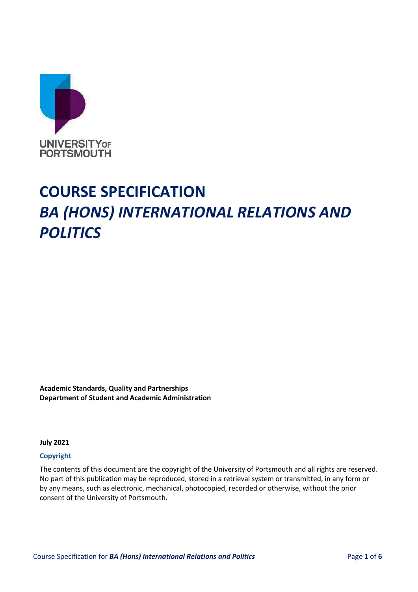

# **COURSE SPECIFICATION** *BA (HONS) INTERNATIONAL RELATIONS AND POLITICS*

**Academic Standards, Quality and Partnerships Department of Student and Academic Administration**

**July 2021** 

#### **Copyright**

The contents of this document are the copyright of the University of Portsmouth and all rights are reserved. No part of this publication may be reproduced, stored in a retrieval system or transmitted, in any form or by any means, such as electronic, mechanical, photocopied, recorded or otherwise, without the prior consent of the University of Portsmouth.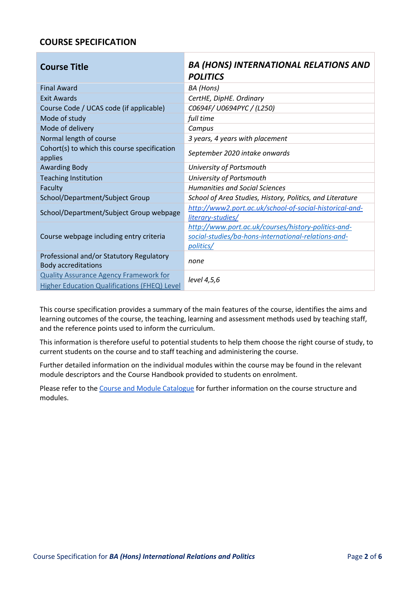## **COURSE SPECIFICATION**

| <b>Course Title</b>                                                                                  | <b>BA (HONS) INTERNATIONAL RELATIONS AND</b><br><b>POLITICS</b>                                                         |
|------------------------------------------------------------------------------------------------------|-------------------------------------------------------------------------------------------------------------------------|
| <b>Final Award</b>                                                                                   | BA (Hons)                                                                                                               |
| <b>Exit Awards</b>                                                                                   | CertHE, DipHE. Ordinary                                                                                                 |
| Course Code / UCAS code (if applicable)                                                              | C0694F/U0694PYC / (L250)                                                                                                |
| Mode of study                                                                                        | full time                                                                                                               |
| Mode of delivery                                                                                     | Campus                                                                                                                  |
| Normal length of course                                                                              | 3 years, 4 years with placement                                                                                         |
| Cohort(s) to which this course specification<br>applies                                              | September 2020 intake onwards                                                                                           |
| <b>Awarding Body</b>                                                                                 | University of Portsmouth                                                                                                |
| <b>Teaching Institution</b>                                                                          | University of Portsmouth                                                                                                |
| Faculty                                                                                              | <b>Humanities and Social Sciences</b>                                                                                   |
| School/Department/Subject Group                                                                      | School of Area Studies, History, Politics, and Literature                                                               |
| School/Department/Subject Group webpage                                                              | http://www2.port.ac.uk/school-of-social-historical-and-<br>literary-studies/                                            |
| Course webpage including entry criteria                                                              | http://www.port.ac.uk/courses/history-politics-and-<br>social-studies/ba-hons-international-relations-and-<br>politics/ |
| Professional and/or Statutory Regulatory<br><b>Body accreditations</b>                               | none                                                                                                                    |
| <b>Quality Assurance Agency Framework for</b><br><b>Higher Education Qualifications (FHEQ) Level</b> | level 4,5,6                                                                                                             |

This course specification provides a summary of the main features of the course, identifies the aims and learning outcomes of the course, the teaching, learning and assessment methods used by teaching staff, and the reference points used to inform the curriculum.

This information is therefore useful to potential students to help them choose the right course of study, to current students on the course and to staff teaching and administering the course.

Further detailed information on the individual modules within the course may be found in the relevant module descriptors and the Course Handbook provided to students on enrolment.

Please refer to th[e Course and Module Catalogue](https://course-module-catalog.port.ac.uk/#/welcome) for further information on the course structure and modules.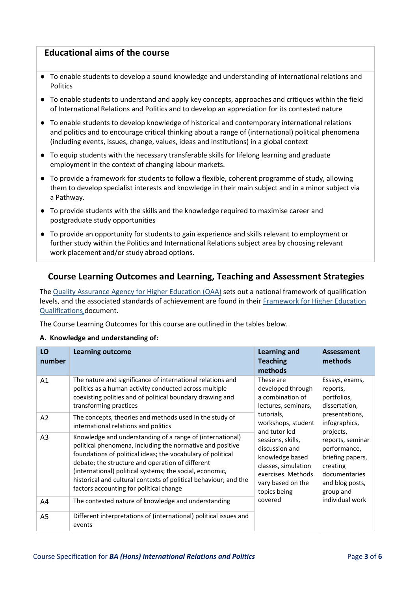## **Educational aims of the course**

- To enable students to develop a sound knowledge and understanding of international relations and Politics
- To enable students to understand and apply key concepts, approaches and critiques within the field of International Relations and Politics and to develop an appreciation for its contested nature
- To enable students to develop knowledge of historical and contemporary international relations and politics and to encourage critical thinking about a range of (international) political phenomena (including events, issues, change, values, ideas and institutions) in a global context
- To equip students with the necessary transferable skills for lifelong learning and graduate employment in the context of changing labour markets.
- To provide a framework for students to follow a flexible, coherent programme of study, allowing them to develop specialist interests and knowledge in their main subject and in a minor subject via a Pathway.
- To provide students with the skills and the knowledge required to maximise career and postgraduate study opportunities
- To provide an opportunity for students to gain experience and skills relevant to employment or further study within the Politics and International Relations subject area by choosing relevant work placement and/or study abroad options.

## **Course Learning Outcomes and Learning, Teaching and Assessment Strategies**

Th[e Quality Assurance Agency for Higher Education \(QAA\)](http://www.qaa.ac.uk/en) sets out a national framework of qualification levels, and the associated standards of achievement are found in their [Framework for Higher Education](http://www.qaa.ac.uk/en/Publications/Documents/qualifications-frameworks.pdf) [Qualifications](http://www.qaa.ac.uk/en/Publications/Documents/qualifications-frameworks.pdf) [d](http://www.qaa.ac.uk/en/Publications/Documents/qualifications-frameworks.pdf)ocument.

The Course Learning Outcomes for this course are outlined in the tables below.

#### **A. Knowledge and understanding of:**

| LO<br>number   | <b>Learning outcome</b>                                                                                                                                                                                                                                                                                                                                                                                              | <b>Learning and</b><br><b>Teaching</b><br>methods                                                                                                                                                                                                                                                               | Assessment<br>methods                                                                                 |
|----------------|----------------------------------------------------------------------------------------------------------------------------------------------------------------------------------------------------------------------------------------------------------------------------------------------------------------------------------------------------------------------------------------------------------------------|-----------------------------------------------------------------------------------------------------------------------------------------------------------------------------------------------------------------------------------------------------------------------------------------------------------------|-------------------------------------------------------------------------------------------------------|
| A <sub>1</sub> | The nature and significance of international relations and<br>politics as a human activity conducted across multiple<br>coexisting polities and of political boundary drawing and<br>transforming practices                                                                                                                                                                                                          | These are<br>developed through<br>reports,<br>a combination of<br>lectures, seminars,<br>tutorials,<br>workshops, student<br>and tutor led<br>projects,<br>sessions, skills,<br>discussion and<br>knowledge based<br>classes, simulation<br>creating<br>exercises. Methods<br>vary based on the<br>topics being | Essays, exams,<br>portfolios,<br>dissertation,                                                        |
| A <sub>2</sub> | The concepts, theories and methods used in the study of<br>international relations and politics                                                                                                                                                                                                                                                                                                                      |                                                                                                                                                                                                                                                                                                                 | presentations,<br>infographics,                                                                       |
| A <sub>3</sub> | Knowledge and understanding of a range of (international)<br>political phenomena, including the normative and positive<br>foundations of political ideas; the vocabulary of political<br>debate; the structure and operation of different<br>(international) political systems; the social, economic,<br>historical and cultural contexts of political behaviour; and the<br>factors accounting for political change |                                                                                                                                                                                                                                                                                                                 | reports, seminar<br>performance,<br>briefing papers,<br>documentaries<br>and blog posts,<br>group and |
| A4             | The contested nature of knowledge and understanding                                                                                                                                                                                                                                                                                                                                                                  | covered                                                                                                                                                                                                                                                                                                         | individual work                                                                                       |
| A <sub>5</sub> | Different interpretations of (international) political issues and<br>events                                                                                                                                                                                                                                                                                                                                          |                                                                                                                                                                                                                                                                                                                 |                                                                                                       |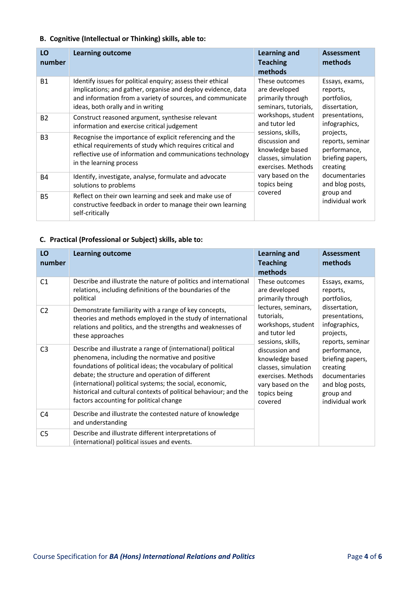## **B. Cognitive (Intellectual or Thinking) skills, able to:**

| LO<br>number   | <b>Learning outcome</b>                                                                                                                                                                                                        | <b>Learning and</b><br><b>Teaching</b><br>methods                                                                                                                                                                                                                                                                                                                                                                                                                     | <b>Assessment</b><br>methods         |
|----------------|--------------------------------------------------------------------------------------------------------------------------------------------------------------------------------------------------------------------------------|-----------------------------------------------------------------------------------------------------------------------------------------------------------------------------------------------------------------------------------------------------------------------------------------------------------------------------------------------------------------------------------------------------------------------------------------------------------------------|--------------------------------------|
| <b>B1</b>      | Identify issues for political enquiry; assess their ethical<br>implications; and gather, organise and deploy evidence, data<br>and information from a variety of sources, and communicate<br>ideas, both orally and in writing | These outcomes<br>Essays, exams,<br>are developed<br>reports,<br>primarily through<br>portfolios,<br>seminars, tutorials,<br>dissertation,<br>workshops, student<br>presentations,<br>and tutor led<br>infographics,<br>sessions, skills,<br>projects,<br>discussion and<br>performance,<br>knowledge based<br>classes, simulation<br>exercises. Methods<br>creating<br>vary based on the<br>documentaries<br>topics being<br>and blog posts,<br>covered<br>group and |                                      |
| <b>B2</b>      | Construct reasoned argument, synthesise relevant<br>information and exercise critical judgement                                                                                                                                |                                                                                                                                                                                                                                                                                                                                                                                                                                                                       |                                      |
| B <sub>3</sub> | Recognise the importance of explicit referencing and the<br>ethical requirements of study which requires critical and<br>reflective use of information and communications technology<br>in the learning process                |                                                                                                                                                                                                                                                                                                                                                                                                                                                                       | reports, seminar<br>briefing papers, |
| <b>B4</b>      | Identify, investigate, analyse, formulate and advocate<br>solutions to problems                                                                                                                                                |                                                                                                                                                                                                                                                                                                                                                                                                                                                                       |                                      |
| <b>B5</b>      | Reflect on their own learning and seek and make use of<br>constructive feedback in order to manage their own learning<br>self-critically                                                                                       |                                                                                                                                                                                                                                                                                                                                                                                                                                                                       | individual work                      |

## **C. Practical (Professional or Subject) skills, able to:**

| LO<br>number   | <b>Learning outcome</b>                                                                                                                                                                                                                                                                                                                                                                                       | <b>Learning and</b><br><b>Teaching</b><br>methods                                                                                                                                                                                                                                                                                                                                                                                                                                                                                             | <b>Assessment</b><br>methods |
|----------------|---------------------------------------------------------------------------------------------------------------------------------------------------------------------------------------------------------------------------------------------------------------------------------------------------------------------------------------------------------------------------------------------------------------|-----------------------------------------------------------------------------------------------------------------------------------------------------------------------------------------------------------------------------------------------------------------------------------------------------------------------------------------------------------------------------------------------------------------------------------------------------------------------------------------------------------------------------------------------|------------------------------|
| C <sub>1</sub> | Describe and illustrate the nature of politics and international<br>relations, including definitions of the boundaries of the<br>political                                                                                                                                                                                                                                                                    | These outcomes<br>Essays, exams,<br>are developed<br>reports,<br>primarily through<br>portfolios,<br>lectures, seminars,<br>dissertation,<br>tutorials,<br>presentations,<br>infographics,<br>workshops, student<br>and tutor led<br>projects,<br>sessions, skills,<br>reports, seminar<br>discussion and<br>performance,<br>knowledge based<br>briefing papers,<br>classes, simulation<br>creating<br>exercises. Methods<br>documentaries<br>vary based on the<br>and blog posts,<br>topics being<br>group and<br>individual work<br>covered |                              |
| C <sub>2</sub> | Demonstrate familiarity with a range of key concepts,<br>theories and methods employed in the study of international<br>relations and politics, and the strengths and weaknesses of<br>these approaches                                                                                                                                                                                                       |                                                                                                                                                                                                                                                                                                                                                                                                                                                                                                                                               |                              |
| C <sub>3</sub> | Describe and illustrate a range of (international) political<br>phenomena, including the normative and positive<br>foundations of political ideas; the vocabulary of political<br>debate; the structure and operation of different<br>(international) political systems; the social, economic,<br>historical and cultural contexts of political behaviour; and the<br>factors accounting for political change |                                                                                                                                                                                                                                                                                                                                                                                                                                                                                                                                               |                              |
| C <sub>4</sub> | Describe and illustrate the contested nature of knowledge<br>and understanding                                                                                                                                                                                                                                                                                                                                |                                                                                                                                                                                                                                                                                                                                                                                                                                                                                                                                               |                              |
| C5             | Describe and illustrate different interpretations of<br>(international) political issues and events.                                                                                                                                                                                                                                                                                                          |                                                                                                                                                                                                                                                                                                                                                                                                                                                                                                                                               |                              |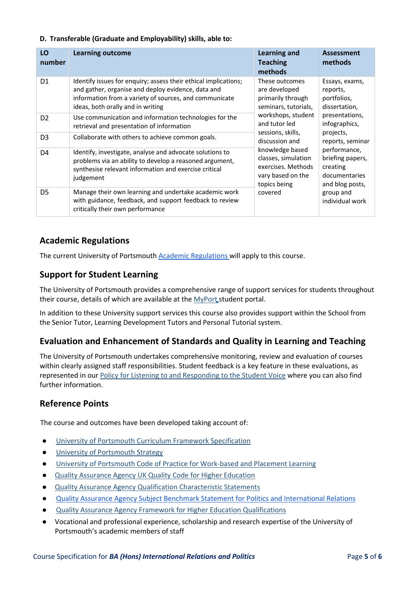### **D. Transferable (Graduate and Employability) skills, able to:**

| LO<br>number   | <b>Learning outcome</b>                                                                                                                                                                                              | <b>Learning and</b><br><b>Teaching</b><br>methods                                                                                                                                                                    | <b>Assessment</b><br>methods                                                                                     |
|----------------|----------------------------------------------------------------------------------------------------------------------------------------------------------------------------------------------------------------------|----------------------------------------------------------------------------------------------------------------------------------------------------------------------------------------------------------------------|------------------------------------------------------------------------------------------------------------------|
| D <sub>1</sub> | Identify issues for enquiry; assess their ethical implications;<br>and gather, organise and deploy evidence, data and<br>information from a variety of sources, and communicate<br>ideas, both orally and in writing | These outcomes<br>Essays, exams,<br>are developed<br>reports,<br>primarily through<br>portfolios,<br>seminars, tutorials,<br>dissertation,<br>workshops, student<br>presentations,<br>and tutor led<br>infographics, |                                                                                                                  |
| D <sub>2</sub> | Use communication and information technologies for the<br>retrieval and presentation of information                                                                                                                  |                                                                                                                                                                                                                      |                                                                                                                  |
| D <sub>3</sub> | Collaborate with others to achieve common goals.                                                                                                                                                                     | sessions, skills,<br>discussion and                                                                                                                                                                                  | projects,<br>reports, seminar                                                                                    |
| D4             | Identify, investigate, analyse and advocate solutions to<br>problems via an ability to develop a reasoned argument,<br>synthesise relevant information and exercise critical<br>judgement                            | knowledge based<br>classes, simulation<br>exercises. Methods<br>vary based on the<br>topics being<br>covered                                                                                                         | performance,<br>briefing papers,<br>creating<br>documentaries<br>and blog posts,<br>group and<br>individual work |
| D <sub>5</sub> | Manage their own learning and undertake academic work<br>with guidance, feedback, and support feedback to review<br>critically their own performance                                                                 |                                                                                                                                                                                                                      |                                                                                                                  |

## **Academic Regulations**

The current University of Portsmouth [Academic Regulations w](https://staff.port.ac.uk/departments/services/academicregistry/qmd/assessmentandregulations/)ill apply to this course.

## **Support for Student Learning**

The University of Portsmouth provides a comprehensive range of support services for students throughout their course, details of which are available at the [MyPort](http://myport.ac.uk/) student portal.

In addition to these University support services this course also provides support within the School from the Senior Tutor, Learning Development Tutors and Personal Tutorial system.

## **Evaluation and Enhancement of Standards and Quality in Learning and Teaching**

The University of Portsmouth undertakes comprehensive monitoring, review and evaluation of courses within clearly assigned staff responsibilities. Student feedback is a key feature in these evaluations, as represented in ou[r Policy for Listening to and Responding to the Student Voice](http://policies.docstore.port.ac.uk/policy-069.pdf) [w](http://policies.docstore.port.ac.uk/policy-069.pdf)here you can also find further information.

## **Reference Points**

The course and outcomes have been developed taking account of:

- [University of Portsmouth Curriculum Framework Specification](http://policies.docstore.port.ac.uk/policy-217.pdf?_ga=2.262170252.1863271531.1625471462-353504235.1613498042)
- [University of Portsmouth Strategy](https://www.port.ac.uk/about-us/our-ambition/our-strategy)
- [University of Portsmouth Code of Practice for Work-based and Placement Learning](http://policies.docstore.port.ac.uk/policy-151.pdf)
- **[Quality Assurance Agency UK Quality Code for Higher Education](https://www.qaa.ac.uk/quality-code)**
- **[Quality Assurance Agency Qualification Characteristic Statements](https://www.qaa.ac.uk/quality-code/characteristics-statements)**
- [Quality Assurance Agency Subject Benchmark Statement for Politics and International Relations](https://www.qaa.ac.uk/docs/qaa/subject-benchmark-statements/subject-benchmark-statement-politics-and-international-relations.pdf?sfvrsn=73e2cb81_5)
- [Quality Assurance Agency Framework for Higher Education Qualifications](https://www.qaa.ac.uk/quality-code/qualifications-frameworks)
- Vocational and professional experience, scholarship and research expertise of the University of Portsmouth's academic members of staff